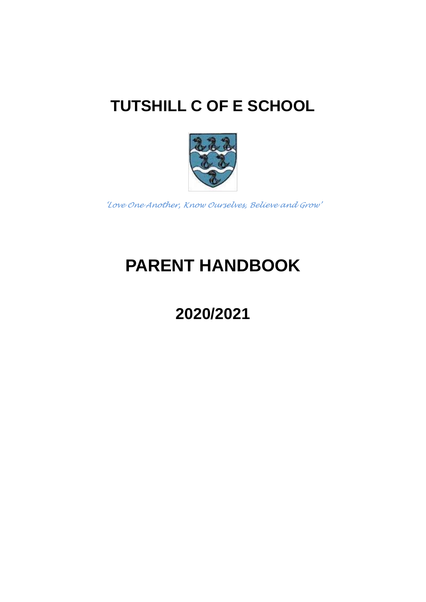

*'Love One Another, Know Ourselves, Believe and Grow'*

# **PARENT HANDBOOK**

# **2020/2021**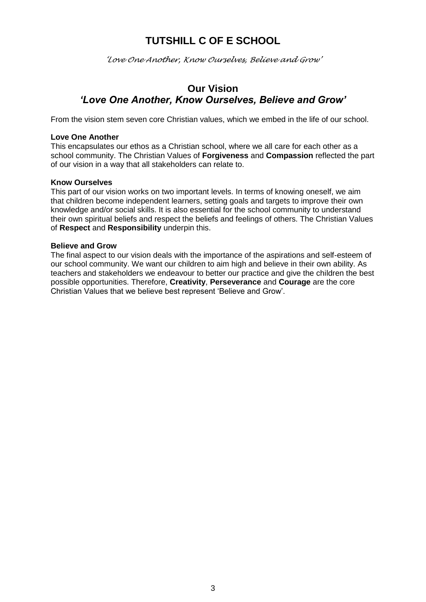*'Love One Another, Know Ourselves, Believe and Grow'*

### **Our Vision** *'Love One Another, Know Ourselves, Believe and Grow'*

From the vision stem seven core Christian values, which we embed in the life of our school.

### **Love One Another**

This encapsulates our ethos as a Christian school, where we all care for each other as a school community. The Christian Values of **Forgiveness** and **Compassion** reflected the part of our vision in a way that all stakeholders can relate to.

### **Know Ourselves**

This part of our vision works on two important levels. In terms of knowing oneself, we aim that children become independent learners, setting goals and targets to improve their own knowledge and/or social skills. It is also essential for the school community to understand their own spiritual beliefs and respect the beliefs and feelings of others. The Christian Values of **Respect** and **Responsibility** underpin this.

#### **Believe and Grow**

The final aspect to our vision deals with the importance of the aspirations and self-esteem of our school community. We want our children to aim high and believe in their own ability. As teachers and stakeholders we endeavour to better our practice and give the children the best possible opportunities. Therefore, **Creativity**, **Perseverance** and **Courage** are the core Christian Values that we believe best represent 'Believe and Grow'.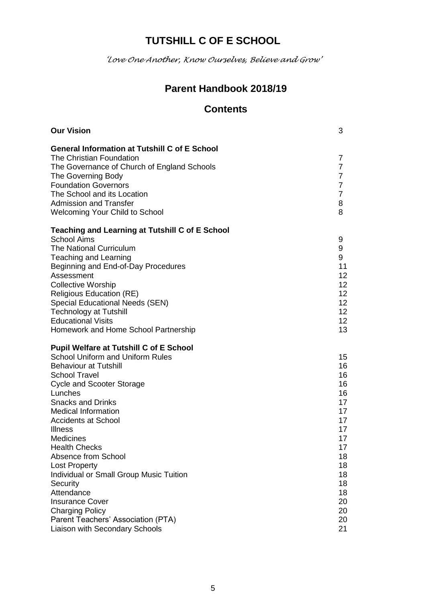*'Love One Another, Know Ourselves, Believe and Grow'*

### **Parent Handbook 2018/19**

### **Contents**

| <b>Our Vision</b>                                    | 3              |
|------------------------------------------------------|----------------|
| <b>General Information at Tutshill C of E School</b> |                |
| The Christian Foundation                             | 7              |
| The Governance of Church of England Schools          | $\overline{7}$ |
| The Governing Body                                   | $\overline{7}$ |
| <b>Foundation Governors</b>                          | $\overline{7}$ |
| The School and its Location                          | $\overline{7}$ |
| <b>Admission and Transfer</b>                        | 8              |
| <b>Welcoming Your Child to School</b>                | 8              |
| Teaching and Learning at Tutshill C of E School      |                |
| <b>School Aims</b>                                   | 9              |
| <b>The National Curriculum</b>                       | 9              |
| Teaching and Learning                                | 9              |
| Beginning and End-of-Day Procedures                  | 11             |
| Assessment                                           | 12             |
| <b>Collective Worship</b>                            | 12             |
| <b>Religious Education (RE)</b>                      | 12             |
| <b>Special Educational Needs (SEN)</b>               | 12             |
| <b>Technology at Tutshill</b>                        | 12             |
| <b>Educational Visits</b>                            | 12             |
| Homework and Home School Partnership                 | 13             |
| <b>Pupil Welfare at Tutshill C of E School</b>       |                |
| <b>School Uniform and Uniform Rules</b>              | 15             |
| <b>Behaviour at Tutshill</b>                         | 16             |
| <b>School Travel</b>                                 | 16             |
| <b>Cycle and Scooter Storage</b>                     | 16             |
| Lunches                                              | 16             |
| <b>Snacks and Drinks</b>                             | 17             |
| <b>Medical Information</b>                           | 17             |
| <b>Accidents at School</b>                           | 17<br>17       |
| <b>Illness</b><br><b>Medicines</b>                   | 17             |
| <b>Health Checks</b>                                 | 17             |
| Absence from School                                  | 18             |
| <b>Lost Property</b>                                 | 18             |
| Individual or Small Group Music Tuition              | 18             |
| Security                                             | 18             |
| Attendance                                           | 18             |
| <b>Insurance Cover</b>                               | 20             |
| <b>Charging Policy</b>                               | 20             |
| Parent Teachers' Association (PTA)                   | 20             |
| Liaison with Secondary Schools                       | 21             |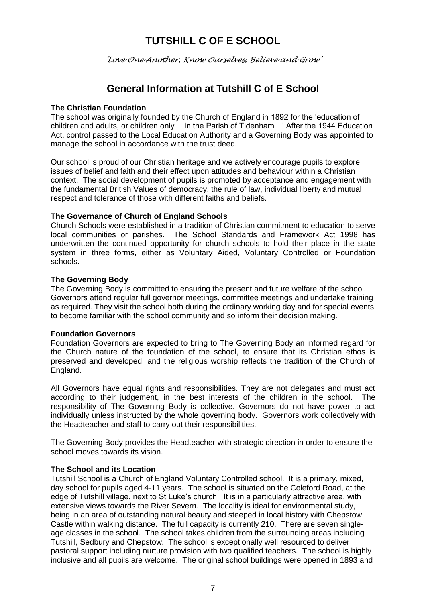*'Love One Another, Know Ourselves, Believe and Grow'*

### **General Information at Tutshill C of E School**

### **The Christian Foundation**

The school was originally founded by the Church of England in 1892 for the 'education of children and adults, or children only …in the Parish of Tidenham…' After the 1944 Education Act, control passed to the Local Education Authority and a Governing Body was appointed to manage the school in accordance with the trust deed.

Our school is proud of our Christian heritage and we actively encourage pupils to explore issues of belief and faith and their effect upon attitudes and behaviour within a Christian context. The social development of pupils is promoted by acceptance and engagement with the fundamental British Values of democracy, the rule of law, individual liberty and mutual respect and tolerance of those with different faiths and beliefs.

#### **The Governance of Church of England Schools**

Church Schools were established in a tradition of Christian commitment to education to serve local communities or parishes. The School Standards and Framework Act 1998 has underwritten the continued opportunity for church schools to hold their place in the state system in three forms, either as Voluntary Aided, Voluntary Controlled or Foundation schools.

#### **The Governing Body**

The Governing Body is committed to ensuring the present and future welfare of the school. Governors attend regular full governor meetings, committee meetings and undertake training as required. They visit the school both during the ordinary working day and for special events to become familiar with the school community and so inform their decision making.

#### **Foundation Governors**

Foundation Governors are expected to bring to The Governing Body an informed regard for the Church nature of the foundation of the school, to ensure that its Christian ethos is preserved and developed, and the religious worship reflects the tradition of the Church of England.

All Governors have equal rights and responsibilities. They are not delegates and must act according to their judgement, in the best interests of the children in the school. The responsibility of The Governing Body is collective. Governors do not have power to act individually unless instructed by the whole governing body. Governors work collectively with the Headteacher and staff to carry out their responsibilities.

The Governing Body provides the Headteacher with strategic direction in order to ensure the school moves towards its vision.

### **The School and its Location**

Tutshill School is a Church of England Voluntary Controlled school. It is a primary, mixed, day school for pupils aged 4-11 years. The school is situated on the Coleford Road, at the edge of Tutshill village, next to St Luke's church. It is in a particularly attractive area, with extensive views towards the River Severn. The locality is ideal for environmental study, being in an area of outstanding natural beauty and steeped in local history with Chepstow Castle within walking distance. The full capacity is currently 210. There are seven singleage classes in the school. The school takes children from the surrounding areas including Tutshill, Sedbury and Chepstow. The school is exceptionally well resourced to deliver pastoral support including nurture provision with two qualified teachers. The school is highly inclusive and all pupils are welcome. The original school buildings were opened in 1893 and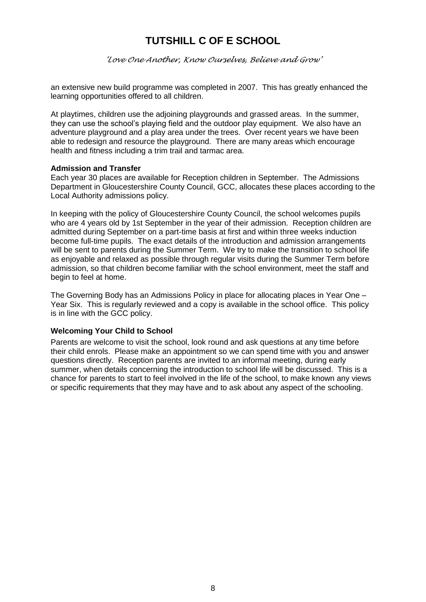*'Love One Another, Know Ourselves, Believe and Grow'*

an extensive new build programme was completed in 2007. This has greatly enhanced the learning opportunities offered to all children.

At playtimes, children use the adjoining playgrounds and grassed areas. In the summer, they can use the school's playing field and the outdoor play equipment. We also have an adventure playground and a play area under the trees. Over recent years we have been able to redesign and resource the playground. There are many areas which encourage health and fitness including a trim trail and tarmac area.

### **Admission and Transfer**

Each year 30 places are available for Reception children in September. The Admissions Department in Gloucestershire County Council, GCC, allocates these places according to the Local Authority admissions policy.

In keeping with the policy of Gloucestershire County Council, the school welcomes pupils who are 4 years old by 1st September in the year of their admission. Reception children are admitted during September on a part-time basis at first and within three weeks induction become full-time pupils. The exact details of the introduction and admission arrangements will be sent to parents during the Summer Term. We try to make the transition to school life as enjoyable and relaxed as possible through regular visits during the Summer Term before admission, so that children become familiar with the school environment, meet the staff and begin to feel at home.

The Governing Body has an Admissions Policy in place for allocating places in Year One – Year Six. This is regularly reviewed and a copy is available in the school office. This policy is in line with the GCC policy.

### **Welcoming Your Child to School**

Parents are welcome to visit the school, look round and ask questions at any time before their child enrols. Please make an appointment so we can spend time with you and answer questions directly. Reception parents are invited to an informal meeting, during early summer, when details concerning the introduction to school life will be discussed. This is a chance for parents to start to feel involved in the life of the school, to make known any views or specific requirements that they may have and to ask about any aspect of the schooling.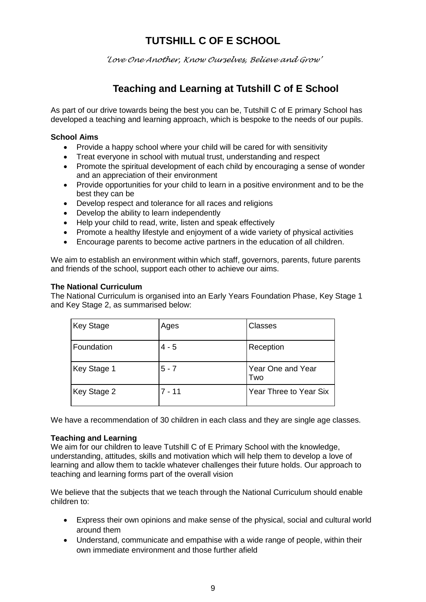*'Love One Another, Know Ourselves, Believe and Grow'*

### **Teaching and Learning at Tutshill C of E School**

As part of our drive towards being the best you can be, Tutshill C of E primary School has developed a teaching and learning approach, which is bespoke to the needs of our pupils.

### **School Aims**

- Provide a happy school where your child will be cared for with sensitivity
- Treat everyone in school with mutual trust, understanding and respect
- Promote the spiritual development of each child by encouraging a sense of wonder and an appreciation of their environment
- Provide opportunities for your child to learn in a positive environment and to be the best they can be
- Develop respect and tolerance for all races and religions
- Develop the ability to learn independently
- Help your child to read, write, listen and speak effectively
- Promote a healthy lifestyle and enjoyment of a wide variety of physical activities
- Encourage parents to become active partners in the education of all children.

We aim to establish an environment within which staff, governors, parents, future parents and friends of the school, support each other to achieve our aims.

### **The National Curriculum**

The National Curriculum is organised into an Early Years Foundation Phase, Key Stage 1 and Key Stage 2, as summarised below:

| <b>Key Stage</b> | Ages     | <b>Classes</b>           |
|------------------|----------|--------------------------|
| Foundation       | $4 - 5$  | Reception                |
| Key Stage 1      | $5 - 7$  | Year One and Year<br>Two |
| Key Stage 2      | $7 - 11$ | Year Three to Year Six   |

We have a recommendation of 30 children in each class and they are single age classes.

### **Teaching and Learning**

We aim for our children to leave Tutshill C of E Primary School with the knowledge, understanding, attitudes, skills and motivation which will help them to develop a love of learning and allow them to tackle whatever challenges their future holds. Our approach to teaching and learning forms part of the overall vision

We believe that the subjects that we teach through the National Curriculum should enable children to:

- Express their own opinions and make sense of the physical, social and cultural world around them
- Understand, communicate and empathise with a wide range of people, within their own immediate environment and those further afield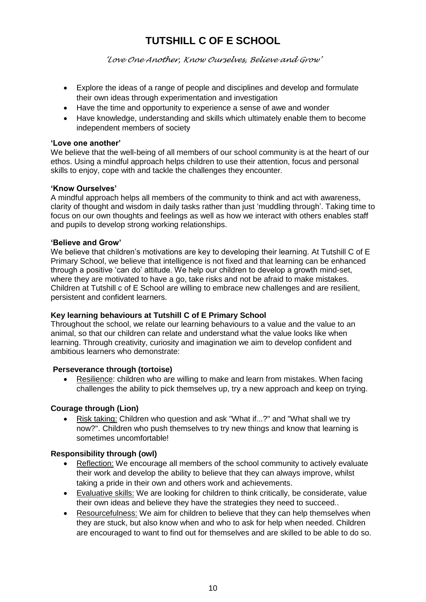*'Love One Another, Know Ourselves, Believe and Grow'*

- Explore the ideas of a range of people and disciplines and develop and formulate their own ideas through experimentation and investigation
- Have the time and opportunity to experience a sense of awe and wonder
- Have knowledge, understanding and skills which ultimately enable them to become independent members of society

### **'Love one another'**

We believe that the well-being of all members of our school community is at the heart of our ethos. Using a mindful approach helps children to use their attention, focus and personal skills to enjoy, cope with and tackle the challenges they encounter.

### **'Know Ourselves'**

A mindful approach helps all members of the community to think and act with awareness, clarity of thought and wisdom in daily tasks rather than just 'muddling through'. Taking time to focus on our own thoughts and feelings as well as how we interact with others enables staff and pupils to develop strong working relationships.

### **'Believe and Grow'**

We believe that children's motivations are key to developing their learning. At Tutshill C of E Primary School, we believe that intelligence is not fixed and that learning can be enhanced through a positive 'can do' attitude. We help our children to develop a growth mind-set, where they are motivated to have a go, take risks and not be afraid to make mistakes. Children at Tutshill c of E School are willing to embrace new challenges and are resilient, persistent and confident learners.

### **Key learning behaviours at Tutshill C of E Primary School**

Throughout the school, we relate our learning behaviours to a value and the value to an animal, so that our children can relate and understand what the value looks like when learning. Through creativity, curiosity and imagination we aim to develop confident and ambitious learners who demonstrate:

### **Perseverance through (tortoise)**

 Resilience: children who are willing to make and learn from mistakes. When facing challenges the ability to pick themselves up, try a new approach and keep on trying.

### **Courage through (Lion)**

 Risk taking: Children who question and ask "What if...?" and "What shall we try now?". Children who push themselves to try new things and know that learning is sometimes uncomfortable!

### **Responsibility through (owl)**

- Reflection: We encourage all members of the school community to actively evaluate their work and develop the ability to believe that they can always improve, whilst taking a pride in their own and others work and achievements.
- Evaluative skills: We are looking for children to think critically, be considerate, value their own ideas and believe they have the strategies they need to succeed..
- Resourcefulness: We aim for children to believe that they can help themselves when they are stuck, but also know when and who to ask for help when needed. Children are encouraged to want to find out for themselves and are skilled to be able to do so.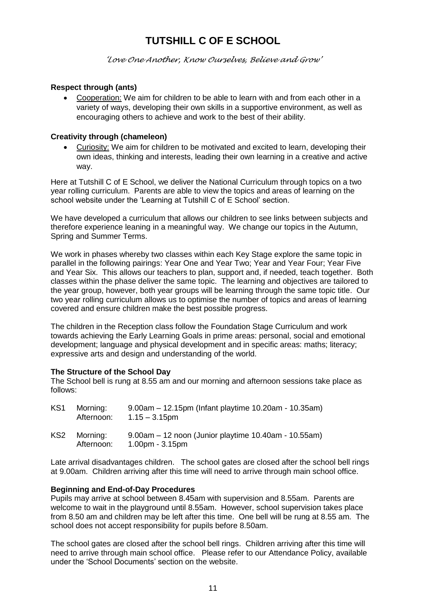*'Love One Another, Know Ourselves, Believe and Grow'*

### **Respect through (ants)**

 Cooperation: We aim for children to be able to learn with and from each other in a variety of ways, developing their own skills in a supportive environment, as well as encouraging others to achieve and work to the best of their ability.

### **Creativity through (chameleon)**

 Curiosity: We aim for children to be motivated and excited to learn, developing their own ideas, thinking and interests, leading their own learning in a creative and active way.

Here at Tutshill C of E School, we deliver the National Curriculum through topics on a two year rolling curriculum. Parents are able to view the topics and areas of learning on the school website under the 'Learning at Tutshill C of E School' section.

We have developed a curriculum that allows our children to see links between subjects and therefore experience leaning in a meaningful way. We change our topics in the Autumn, Spring and Summer Terms.

We work in phases whereby two classes within each Key Stage explore the same topic in parallel in the following pairings: Year One and Year Two; Year and Year Four; Year Five and Year Six. This allows our teachers to plan, support and, if needed, teach together. Both classes within the phase deliver the same topic. The learning and objectives are tailored to the year group, however, both year groups will be learning through the same topic title. Our two year rolling curriculum allows us to optimise the number of topics and areas of learning covered and ensure children make the best possible progress.

The children in the Reception class follow the Foundation Stage Curriculum and work towards achieving the Early Learning Goals in prime areas: personal, social and emotional development; language and physical development and in specific areas: maths; literacy; expressive arts and design and understanding of the world.

### **The Structure of the School Day**

The School bell is rung at 8.55 am and our morning and afternoon sessions take place as follows:

| KS <sub>1</sub> | Morning:<br>Afternoon: | 9.00am – 12.15pm (Infant playtime 10.20am - 10.35am)<br>$1.15 - 3.15$ pm  |
|-----------------|------------------------|---------------------------------------------------------------------------|
| KS2             | Morning:<br>Afternoon: | 9.00am – 12 noon (Junior playtime 10.40am - 10.55am)<br>$1.00pm - 3.15pm$ |

Late arrival disadvantages children. The school gates are closed after the school bell rings at 9.00am. Children arriving after this time will need to arrive through main school office.

### **Beginning and End-of-Day Procedures**

Pupils may arrive at school between 8.45am with supervision and 8.55am. Parents are welcome to wait in the playground until 8.55am. However, school supervision takes place from 8.50 am and children may be left after this time. One bell will be rung at 8.55 am. The school does not accept responsibility for pupils before 8.50am.

The school gates are closed after the school bell rings. Children arriving after this time will need to arrive through main school office. Please refer to our Attendance Policy, available under the 'School Documents' section on the website.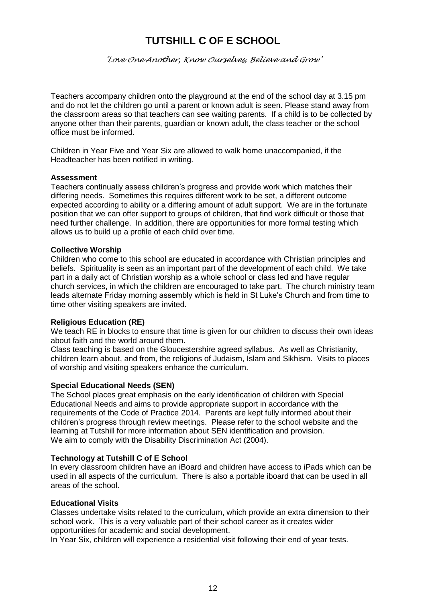*'Love One Another, Know Ourselves, Believe and Grow'*

Teachers accompany children onto the playground at the end of the school day at 3.15 pm and do not let the children go until a parent or known adult is seen. Please stand away from the classroom areas so that teachers can see waiting parents. If a child is to be collected by anyone other than their parents, guardian or known adult, the class teacher or the school office must be informed.

Children in Year Five and Year Six are allowed to walk home unaccompanied, if the Headteacher has been notified in writing.

#### **Assessment**

Teachers continually assess children's progress and provide work which matches their differing needs. Sometimes this requires different work to be set, a different outcome expected according to ability or a differing amount of adult support. We are in the fortunate position that we can offer support to groups of children, that find work difficult or those that need further challenge. In addition, there are opportunities for more formal testing which allows us to build up a profile of each child over time.

#### **Collective Worship**

Children who come to this school are educated in accordance with Christian principles and beliefs. Spirituality is seen as an important part of the development of each child. We take part in a daily act of Christian worship as a whole school or class led and have regular church services, in which the children are encouraged to take part. The church ministry team leads alternate Friday morning assembly which is held in St Luke's Church and from time to time other visiting speakers are invited.

### **Religious Education (RE)**

We teach RE in blocks to ensure that time is given for our children to discuss their own ideas about faith and the world around them.

Class teaching is based on the Gloucestershire agreed syllabus. As well as Christianity, children learn about, and from, the religions of Judaism, Islam and Sikhism. Visits to places of worship and visiting speakers enhance the curriculum.

### **Special Educational Needs (SEN)**

The School places great emphasis on the early identification of children with Special Educational Needs and aims to provide appropriate support in accordance with the requirements of the Code of Practice 2014. Parents are kept fully informed about their children's progress through review meetings. Please refer to the school website and the learning at Tutshill for more information about SEN identification and provision. We aim to comply with the Disability Discrimination Act (2004).

### **Technology at Tutshill C of E School**

In every classroom children have an iBoard and children have access to iPads which can be used in all aspects of the curriculum. There is also a portable iboard that can be used in all areas of the school.

#### **Educational Visits**

Classes undertake visits related to the curriculum, which provide an extra dimension to their school work. This is a very valuable part of their school career as it creates wider opportunities for academic and social development.

In Year Six, children will experience a residential visit following their end of year tests.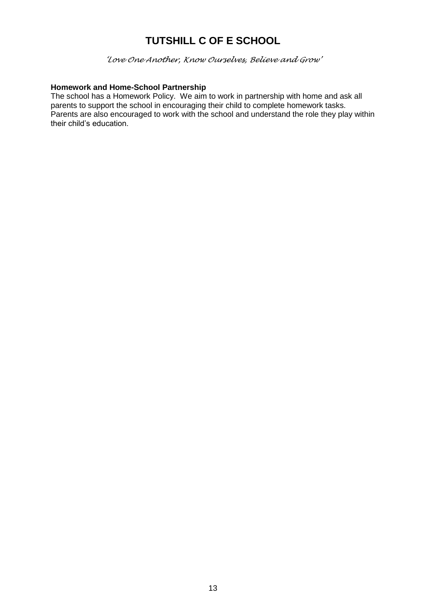*'Love One Another, Know Ourselves, Believe and Grow'*

### **Homework and Home-School Partnership**

The school has a Homework Policy. We aim to work in partnership with home and ask all parents to support the school in encouraging their child to complete homework tasks. Parents are also encouraged to work with the school and understand the role they play within their child's education.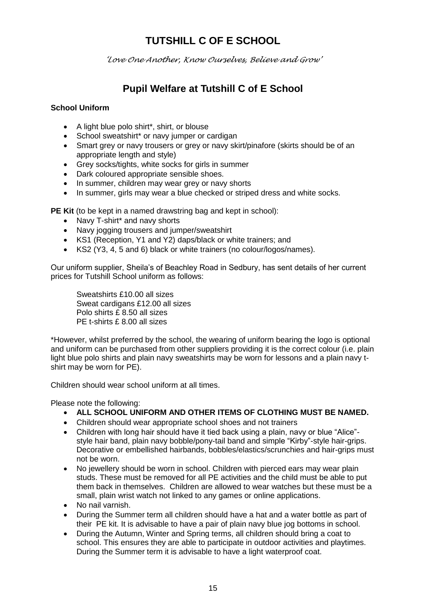*'Love One Another, Know Ourselves, Believe and Grow'*

### **Pupil Welfare at Tutshill C of E School**

### **School Uniform**

- A light blue polo shirt\*, shirt, or blouse
- School sweatshirt\* or navy jumper or cardigan
- Smart grey or navy trousers or grey or navy skirt/pinafore (skirts should be of an appropriate length and style)
- Grey socks/tights, white socks for girls in summer
- Dark coloured appropriate sensible shoes.
- In summer, children may wear grey or navy shorts
- In summer, girls may wear a blue checked or striped dress and white socks.

**PE Kit** (to be kept in a named drawstring bag and kept in school):

- Navy T-shirt\* and navy shorts
- Navy jogging trousers and jumper/sweatshirt
- KS1 (Reception, Y1 and Y2) daps/black or white trainers; and
- KS2 (Y3, 4, 5 and 6) black or white trainers (no colour/logos/names).

Our uniform supplier, Sheila's of Beachley Road in Sedbury, has sent details of her current prices for Tutshill School uniform as follows:

Sweatshirts £10.00 all sizes Sweat cardigans £12.00 all sizes Polo shirts £ 8.50 all sizes PE t-shirts £ 8.00 all sizes

\*However, whilst preferred by the school, the wearing of uniform bearing the logo is optional and uniform can be purchased from other suppliers providing it is the correct colour (i.e. plain light blue polo shirts and plain navy sweatshirts may be worn for lessons and a plain navy tshirt may be worn for PE).

Children should wear school uniform at all times.

Please note the following:

- **ALL SCHOOL UNIFORM AND OTHER ITEMS OF CLOTHING MUST BE NAMED.**
- Children should wear appropriate school shoes and not trainers
- Children with long hair should have it tied back using a plain, navy or blue "Alice" style hair band, plain navy bobble/pony-tail band and simple "Kirby"-style hair-grips. Decorative or embellished hairbands, bobbles/elastics/scrunchies and hair-grips must not be worn.
- No jewellery should be worn in school. Children with pierced ears may wear plain studs. These must be removed for all PE activities and the child must be able to put them back in themselves. Children are allowed to wear watches but these must be a small, plain wrist watch not linked to any games or online applications.
- No nail varnish.
- During the Summer term all children should have a hat and a water bottle as part of their PE kit. It is advisable to have a pair of plain navy blue jog bottoms in school.
- During the Autumn, Winter and Spring terms, all children should bring a coat to school. This ensures they are able to participate in outdoor activities and playtimes. During the Summer term it is advisable to have a light waterproof coat.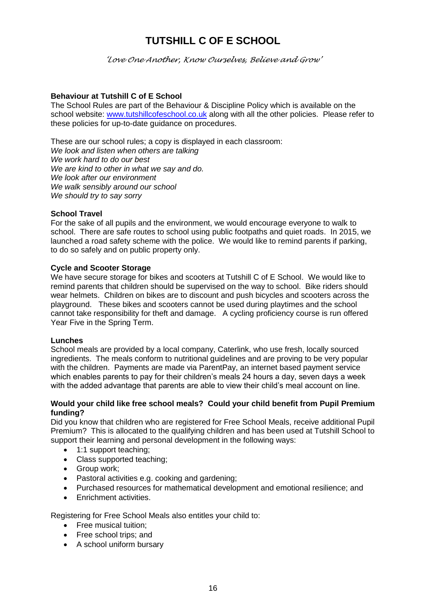*'Love One Another, Know Ourselves, Believe and Grow'*

### **Behaviour at Tutshill C of E School**

The School Rules are part of the Behaviour & Discipline Policy which is available on the school website: [www.tutshillcofeschool.co.uk](http://www.tutshillcofeschool.co.uk/) along with all the other policies. Please refer to these policies for up-to-date guidance on procedures.

These are our school rules; a copy is displayed in each classroom: *We look and listen when others are talking We work hard to do our best We are kind to other in what we say and do. We look after our environment We walk sensibly around our school We should try to say sorry*

### **School Travel**

For the sake of all pupils and the environment, we would encourage everyone to walk to school. There are safe routes to school using public footpaths and quiet roads. In 2015, we launched a road safety scheme with the police. We would like to remind parents if parking, to do so safely and on public property only.

### **Cycle and Scooter Storage**

We have secure storage for bikes and scooters at Tutshill C of E School. We would like to remind parents that children should be supervised on the way to school. Bike riders should wear helmets. Children on bikes are to discount and push bicycles and scooters across the playground. These bikes and scooters cannot be used during playtimes and the school cannot take responsibility for theft and damage. A cycling proficiency course is run offered Year Five in the Spring Term.

### **Lunches**

School meals are provided by a local company, Caterlink, who use fresh, locally sourced ingredients. The meals conform to nutritional guidelines and are proving to be very popular with the children. Payments are made via ParentPay, an internet based payment service which enables parents to pay for their children's meals 24 hours a day, seven days a week with the added advantage that parents are able to view their child's meal account on line.

### **Would your child like free school meals? Could your child benefit from Pupil Premium funding?**

Did you know that children who are registered for Free School Meals, receive additional Pupil Premium? This is allocated to the qualifying children and has been used at Tutshill School to support their learning and personal development in the following ways:

- 1:1 support teaching;
- Class supported teaching;
- Group work;
- Pastoral activities e.g. cooking and gardening;
- Purchased resources for mathematical development and emotional resilience; and
- **Enrichment activities.**

Registering for Free School Meals also entitles your child to:

- Free musical tuition:
- Free school trips; and
- A school uniform bursary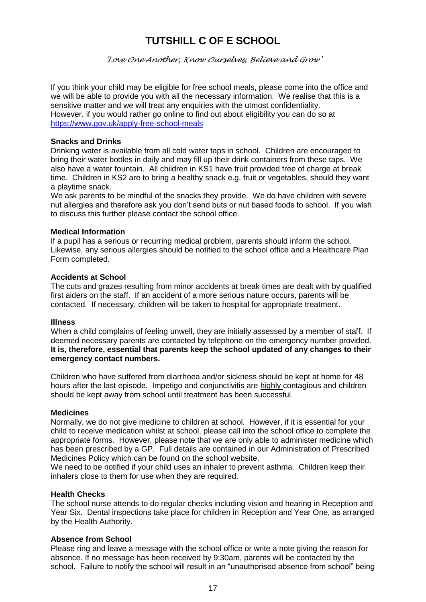*'Love One Another, Know Ourselves, Believe and Grow'*

If you think your child may be eligible for free school meals, please come into the office and we will be able to provide you with all the necessary information. We realise that this is a sensitive matter and we will treat any enquiries with the utmost confidentiality. However, if you would rather go online to find out about eligibility you can do so at <https://www.gov.uk/apply-free-school-meals>

#### **Snacks and Drinks**

Drinking water is available from all cold water taps in school. Children are encouraged to bring their water bottles in daily and may fill up their drink containers from these taps. We also have a water fountain. All children in KS1 have fruit provided free of charge at break time. Children in KS2 are to bring a healthy snack e.g. fruit or vegetables, should they want a playtime snack.

We ask parents to be mindful of the snacks they provide. We do have children with severe nut allergies and therefore ask you don't send buts or nut based foods to school. If you wish to discuss this further please contact the school office.

### **Medical Information**

If a pupil has a serious or recurring medical problem, parents should inform the school. Likewise, any serious allergies should be notified to the school office and a Healthcare Plan Form completed.

#### **Accidents at School**

The cuts and grazes resulting from minor accidents at break times are dealt with by qualified first aiders on the staff. If an accident of a more serious nature occurs, parents will be contacted. If necessary, children will be taken to hospital for appropriate treatment.

#### **Illness**

When a child complains of feeling unwell, they are initially assessed by a member of staff. If deemed necessary parents are contacted by telephone on the emergency number provided. **It is, therefore, essential that parents keep the school updated of any changes to their emergency contact numbers.** 

Children who have suffered from diarrhoea and/or sickness should be kept at home for 48 hours after the last episode. Impetigo and conjunctivitis are highly contagious and children should be kept away from school until treatment has been successful.

#### **Medicines**

Normally, we do not give medicine to children at school. However, if it is essential for your child to receive medication whilst at school, please call into the school office to complete the appropriate forms. However, please note that we are only able to administer medicine which has been prescribed by a GP. Full details are contained in our Administration of Prescribed Medicines Policy which can be found on the school website.

We need to be notified if your child uses an inhaler to prevent asthma. Children keep their inhalers close to them for use when they are required.

### **Health Checks**

The school nurse attends to do regular checks including vision and hearing in Reception and Year Six. Dental inspections take place for children in Reception and Year One, as arranged by the Health Authority.

### **Absence from School**

Please ring and leave a message with the school office or write a note giving the reason for absence. If no message has been received by 9:30am, parents will be contacted by the school. Failure to notify the school will result in an "unauthorised absence from school" being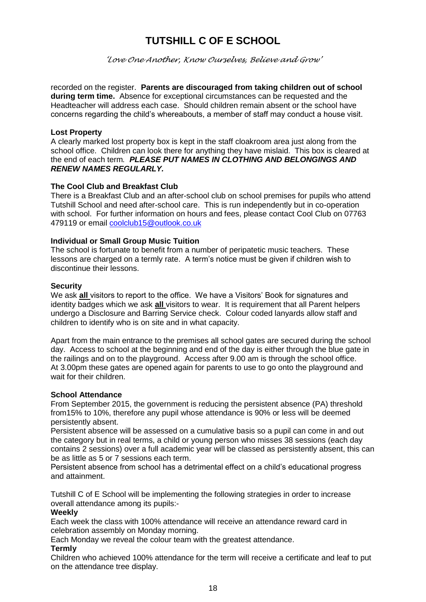*'Love One Another, Know Ourselves, Believe and Grow'*

recorded on the register. **Parents are discouraged from taking children out of school during term time.** Absence for exceptional circumstances can be requested and the Headteacher will address each case. Should children remain absent or the school have concerns regarding the child's whereabouts, a member of staff may conduct a house visit.

#### **Lost Property**

A clearly marked lost property box is kept in the staff cloakroom area just along from the school office. Children can look there for anything they have mislaid. This box is cleared at the end of each term*. PLEASE PUT NAMES IN CLOTHING AND BELONGINGS AND RENEW NAMES REGULARLY.*

### **The Cool Club and Breakfast Club**

There is a Breakfast Club and an after-school club on school premises for pupils who attend Tutshill School and need after-school care. This is run independently but in co-operation with school. For further information on hours and fees, please contact Cool Club on 07763 479119 or email [coolclub15@outlook.co.uk](mailto:coolclub15@outlook.co.uk)

### **Individual or Small Group Music Tuition**

The school is fortunate to benefit from a number of peripatetic music teachers. These lessons are charged on a termly rate. A term's notice must be given if children wish to discontinue their lessons.

#### **Security**

We ask **all** visitors to report to the office. We have a Visitors' Book for signatures and identity badges which we ask **all** visitors to wear. It is requirement that all Parent helpers undergo a Disclosure and Barring Service check. Colour coded lanyards allow staff and children to identify who is on site and in what capacity.

Apart from the main entrance to the premises all school gates are secured during the school day. Access to school at the beginning and end of the day is either through the blue gate in the railings and on to the playground. Access after 9.00 am is through the school office. At 3.00pm these gates are opened again for parents to use to go onto the playground and wait for their children.

#### **School Attendance**

From September 2015, the government is reducing the persistent absence (PA) threshold from15% to 10%, therefore any pupil whose attendance is 90% or less will be deemed persistently absent.

Persistent absence will be assessed on a cumulative basis so a pupil can come in and out the category but in real terms, a child or young person who misses 38 sessions (each day contains 2 sessions) over a full academic year will be classed as persistently absent, this can be as little as 5 or 7 sessions each term.

Persistent absence from school has a detrimental effect on a child's educational progress and attainment.

Tutshill C of E School will be implementing the following strategies in order to increase overall attendance among its pupils:-

#### **Weekly**

Each week the class with 100% attendance will receive an attendance reward card in celebration assembly on Monday morning.

Each Monday we reveal the colour team with the greatest attendance.

### **Termly**

Children who achieved 100% attendance for the term will receive a certificate and leaf to put on the attendance tree display.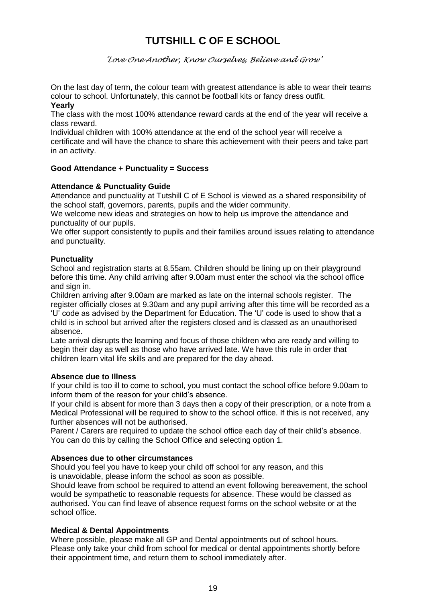*'Love One Another, Know Ourselves, Believe and Grow'*

On the last day of term, the colour team with greatest attendance is able to wear their teams colour to school. Unfortunately, this cannot be football kits or fancy dress outfit.

#### **Yearly**

The class with the most 100% attendance reward cards at the end of the year will receive a class reward.

Individual children with 100% attendance at the end of the school year will receive a certificate and will have the chance to share this achievement with their peers and take part in an activity.

### **Good Attendance + Punctuality = Success**

### **Attendance & Punctuality Guide**

Attendance and punctuality at Tutshill C of E School is viewed as a shared responsibility of the school staff, governors, parents, pupils and the wider community.

We welcome new ideas and strategies on how to help us improve the attendance and punctuality of our pupils.

We offer support consistently to pupils and their families around issues relating to attendance and punctuality.

### **Punctuality**

School and registration starts at 8.55am. Children should be lining up on their playground before this time. Any child arriving after 9.00am must enter the school via the school office and sign in.

Children arriving after 9.00am are marked as late on the internal schools register. The register officially closes at 9.30am and any pupil arriving after this time will be recorded as a 'U' code as advised by the Department for Education. The 'U' code is used to show that a child is in school but arrived after the registers closed and is classed as an unauthorised absence.

Late arrival disrupts the learning and focus of those children who are ready and willing to begin their day as well as those who have arrived late. We have this rule in order that children learn vital life skills and are prepared for the day ahead.

### **Absence due to Illness**

If your child is too ill to come to school, you must contact the school office before 9.00am to inform them of the reason for your child's absence.

If your child is absent for more than 3 days then a copy of their prescription, or a note from a Medical Professional will be required to show to the school office. If this is not received, any further absences will not be authorised.

Parent / Carers are required to update the school office each day of their child's absence. You can do this by calling the School Office and selecting option 1.

### **Absences due to other circumstances**

Should you feel you have to keep your child off school for any reason, and this is unavoidable, please inform the school as soon as possible.

Should leave from school be required to attend an event following bereavement, the school would be sympathetic to reasonable requests for absence. These would be classed as authorised. You can find leave of absence request forms on the school website or at the school office.

### **Medical & Dental Appointments**

Where possible, please make all GP and Dental appointments out of school hours. Please only take your child from school for medical or dental appointments shortly before their appointment time, and return them to school immediately after.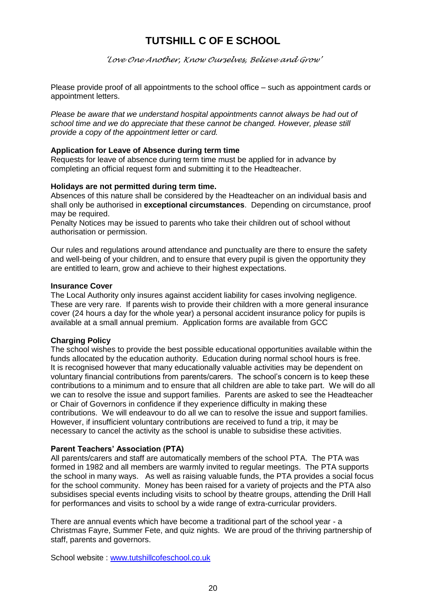*'Love One Another, Know Ourselves, Believe and Grow'*

Please provide proof of all appointments to the school office – such as appointment cards or appointment letters.

*Please be aware that we understand hospital appointments cannot always be had out of school time and we do appreciate that these cannot be changed. However, please still provide a copy of the appointment letter or card.*

#### **Application for Leave of Absence during term time**

Requests for leave of absence during term time must be applied for in advance by completing an official request form and submitting it to the Headteacher.

### **Holidays are not permitted during term time.**

Absences of this nature shall be considered by the Headteacher on an individual basis and shall only be authorised in **exceptional circumstances**. Depending on circumstance, proof may be required.

Penalty Notices may be issued to parents who take their children out of school without authorisation or permission.

Our rules and regulations around attendance and punctuality are there to ensure the safety and well-being of your children, and to ensure that every pupil is given the opportunity they are entitled to learn, grow and achieve to their highest expectations.

#### **Insurance Cover**

The Local Authority only insures against accident liability for cases involving negligence. These are very rare. If parents wish to provide their children with a more general insurance cover (24 hours a day for the whole year) a personal accident insurance policy for pupils is available at a small annual premium. Application forms are available from GCC

### **Charging Policy**

The school wishes to provide the best possible educational opportunities available within the funds allocated by the education authority. Education during normal school hours is free. It is recognised however that many educationally valuable activities may be dependent on voluntary financial contributions from parents/carers. The school's concern is to keep these contributions to a minimum and to ensure that all children are able to take part. We will do all we can to resolve the issue and support families. Parents are asked to see the Headteacher or Chair of Governors in confidence if they experience difficulty in making these contributions. We will endeavour to do all we can to resolve the issue and support families. However, if insufficient voluntary contributions are received to fund a trip, it may be necessary to cancel the activity as the school is unable to subsidise these activities.

### **Parent Teachers' Association (PTA)**

All parents/carers and staff are automatically members of the school PTA. The PTA was formed in 1982 and all members are warmly invited to regular meetings. The PTA supports the school in many ways. As well as raising valuable funds, the PTA provides a social focus for the school community. Money has been raised for a variety of projects and the PTA also subsidises special events including visits to school by theatre groups, attending the Drill Hall for performances and visits to school by a wide range of extra-curricular providers.

There are annual events which have become a traditional part of the school year - a Christmas Fayre, Summer Fete, and quiz nights. We are proud of the thriving partnership of staff, parents and governors.

School website : [www.tutshillcofeschool.co.uk](http://www.tutshillcofeschool.co.uk/)